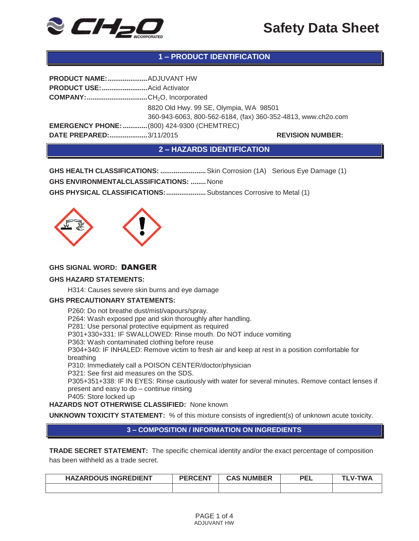

# **1 – PRODUCT IDENTIFICATION**

| PRODUCT NAME:  ADJUVANT HW                         |                                                              |
|----------------------------------------------------|--------------------------------------------------------------|
| PRODUCT USE:  Acid Activator                       |                                                              |
|                                                    |                                                              |
|                                                    | 8820 Old Hwy. 99 SE, Olympia, WA 98501                       |
|                                                    | 360-943-6063, 800-562-6184, (fax) 360-352-4813, www.ch2o.com |
| <b>EMERGENCY PHONE:  (800) 424-9300 (CHEMTREC)</b> |                                                              |
| DATE PREPARED:3/11/2015                            | <b>REVISION NUMBER:</b>                                      |

**2 – HAZARDS IDENTIFICATION** 

**GHS HEALTH CLASSIFICATIONS: ........................** Skin Corrosion (1A) Serious Eye Damage (1) **GHS ENVIRONMENTALCLASSIFICATIONS: ........** None **GHS PHYSICAL CLASSIFICATIONS: .....................** Substances Corrosive to Metal (1)



# **GHS SIGNAL WORD:** DANGER

#### **GHS HAZARD STATEMENTS:**

H314: Causes severe skin burns and eye damage

#### **GHS PRECAUTIONARY STATEMENTS:**

P260: Do not breathe dust/mist/vapours/spray. P264: Wash exposed ppe and skin thoroughly after handling. P281: Use personal protective equipment as required P301+330+331: IF SWALLOWED: Rinse mouth. Do NOT induce vomiting P363: Wash contaminated clothing before reuse P304+340: IF INHALED: Remove victim to fresh air and keep at rest in a position comfortable for breathing P310: Immediately call a POISON CENTER/doctor/physician P321: See first aid measures on the SDS. P305+351+338: IF IN EYES: Rinse cautiously with water for several minutes. Remove contact lenses if present and easy to do – continue rinsing P405: Store locked up **HAZARDS NOT OTHERWISE CLASSIFIED:** None known

**UNKNOWN TOXICITY STATEMENT:** % of this mixture consists of ingredient(s) of unknown acute toxicity.

### **3 – COMPOSITION / INFORMATION ON INGREDIENTS**

**TRADE SECRET STATEMENT:** The specific chemical identity and/or the exact percentage of composition has been withheld as a trade secret.

| <b>HAZARDOUS INGREDIENT</b> | <b>PERCENT</b> | <b>CAS NUMBER</b> | <b>PEL</b> | <b>TWA</b><br>$V -$ |
|-----------------------------|----------------|-------------------|------------|---------------------|
|                             |                |                   |            |                     |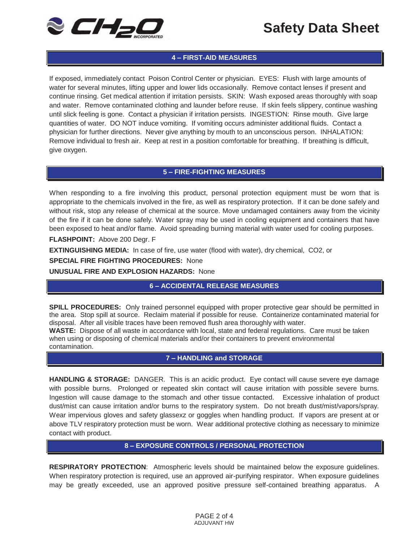

# **4 – FIRST-AID MEASURES**

If exposed, immediately contact Poison Control Center or physician. EYES: Flush with large amounts of water for several minutes, lifting upper and lower lids occasionally. Remove contact lenses if present and continue rinsing. Get medical attention if irritation persists. SKIN: Wash exposed areas thoroughly with soap and water. Remove contaminated clothing and launder before reuse. If skin feels slippery, continue washing until slick feeling is gone. Contact a physician if irritation persists. INGESTION: Rinse mouth. Give large quantities of water. DO NOT induce vomiting. If vomiting occurs administer additional fluids. Contact a physician for further directions. Never give anything by mouth to an unconscious person. INHALATION: Remove individual to fresh air. Keep at rest in a position comfortable for breathing. If breathing is difficult, give oxygen.

#### **5 – FIRE-FIGHTING MEASURES**

When responding to a fire involving this product, personal protection equipment must be worn that is appropriate to the chemicals involved in the fire, as well as respiratory protection. If it can be done safely and without risk, stop any release of chemical at the source. Move undamaged containers away from the vicinity of the fire if it can be done safely. Water spray may be used in cooling equipment and containers that have been exposed to heat and/or flame. Avoid spreading burning material with water used for cooling purposes.

**FLASHPOINT:** Above 200 Degr. F

**EXTINGUISHING MEDIA:** In case of fire, use water (flood with water), dry chemical, CO2, or

**SPECIAL FIRE FIGHTING PROCEDURES:** None

**UNUSUAL FIRE AND EXPLOSION HAZARDS:** None

# **6 – ACCIDENTAL RELEASE MEASURES**

**SPILL PROCEDURES:** Only trained personnel equipped with proper protective gear should be permitted in the area. Stop spill at source. Reclaim material if possible for reuse. Containerize contaminated material for disposal. After all visible traces have been removed flush area thoroughly with water.

**WASTE:** Dispose of all waste in accordance with local, state and federal regulations. Care must be taken when using or disposing of chemical materials and/or their containers to prevent environmental contamination.

# **7 – HANDLING and STORAGE**

**HANDLING & STORAGE:** DANGER. This is an acidic product. Eye contact will cause severe eye damage with possible burns. Prolonged or repeated skin contact will cause irritation with possible severe burns. Ingestion will cause damage to the stomach and other tissue contacted. Excessive inhalation of product dust/mist can cause irritation and/or burns to the respiratory system. Do not breath dust/mist/vapors/spray. Wear impervious gloves and safety glassexz or goggles when handling product. If vapors are present at or above TLV respiratory protection must be worn. Wear additional protective clothing as necessary to minimize contact with product.

#### **8 – EXPOSURE CONTROLS / PERSONAL PROTECTION**

**RESPIRATORY PROTECTION**: Atmospheric levels should be maintained below the exposure guidelines. When respiratory protection is required, use an approved air-purifying respirator. When exposure guidelines may be greatly exceeded, use an approved positive pressure self-contained breathing apparatus. A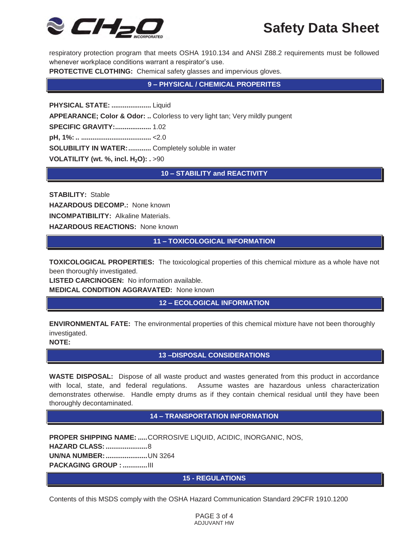

respiratory protection program that meets OSHA 1910.134 and ANSI Z88.2 requirements must be followed whenever workplace conditions warrant a respirator's use.

**PROTECTIVE CLOTHING:** Chemical safety glasses and impervious gloves.

**9 – PHYSICAL / CHEMICAL PROPERITES** 

**PHYSICAL STATE: .....................** Liquid **APPEARANCE; Color & Odor: ..** Colorless to very light tan; Very mildly pungent **SPECIFIC GRAVITY: ...................** 1.02 **pH, 1%: .. .....................................** <2.0 **SOLUBILITY IN WATER: ............** Completely soluble in water **VOLATILITY (wt. %, incl. H<sub>2</sub>O): . >90** 

**10 – STABILITY and REACTIVITY** 

**STABILITY:** Stable **HAZARDOUS DECOMP.:** None known **INCOMPATIBILITY:** Alkaline Materials. **HAZARDOUS REACTIONS:** None known

**11 – TOXICOLOGICAL INFORMATION** 

**TOXICOLOGICAL PROPERTIES:** The toxicological properties of this chemical mixture as a whole have not been thoroughly investigated.

**LISTED CARCINOGEN:** No information available. **MEDICAL CONDITION AGGRAVATED:** None known

**12 – ECOLOGICAL INFORMATION** 

**ENVIRONMENTAL FATE:** The environmental properties of this chemical mixture have not been thoroughly investigated.

**NOTE:** 

**13 –DISPOSAL CONSIDERATIONS** 

**WASTE DISPOSAL:** Dispose of all waste product and wastes generated from this product in accordance with local, state, and federal regulations. Assume wastes are hazardous unless characterization demonstrates otherwise. Handle empty drums as if they contain chemical residual until they have been thoroughly decontaminated.

### **14 – TRANSPORTATION INFORMATION**

**PROPER SHIPPING NAME: .....** CORROSIVE LIQUID, ACIDIC, INORGANIC, NOS, **HAZARD CLASS: ......................** 8 **UN/NA NUMBER: ......................** UN 3264 **PACKAGING GROUP : .............** III

### **15 - REGULATIONS**

Contents of this MSDS comply with the OSHA Hazard Communication Standard 29CFR 1910.1200